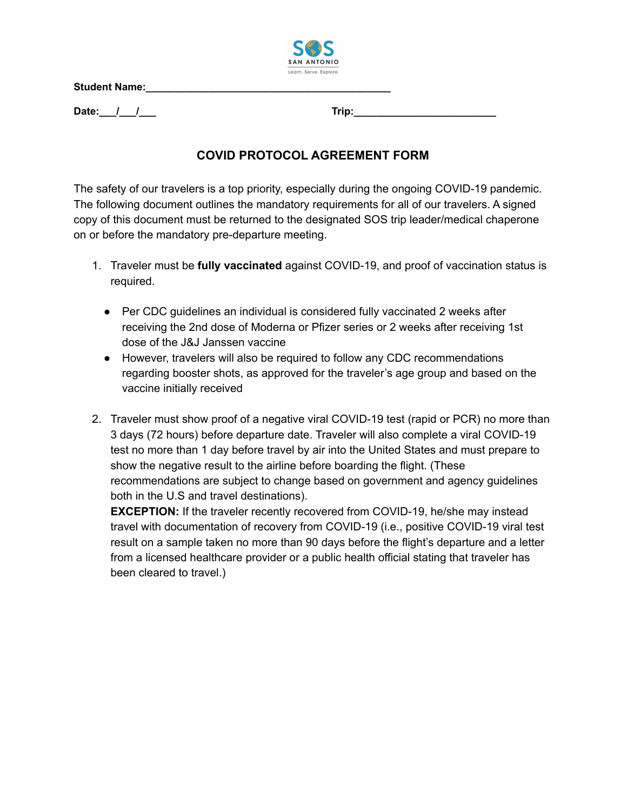**Student Name:\_\_\_\_\_\_\_\_\_\_\_\_\_\_\_\_\_\_\_\_\_\_\_\_\_\_\_\_\_\_\_\_\_\_\_\_\_\_\_\_\_\_\_**



**Date:\_\_\_/\_\_\_/\_\_\_ Trip:\_\_\_\_\_\_\_\_\_\_\_\_\_\_\_\_\_\_\_\_\_\_\_\_\_**

## **COVID PROTOCOL AGREEMENT FORM**

The safety of our travelers is a top priority, especially during the ongoing COVID-19 pandemic. The following document outlines the mandatory requirements for all of our travelers. A signed copy of this document must be returned to the designated SOS trip leader/medical chaperone on or before the mandatory pre-departure meeting.

- 1. Traveler must be **fully vaccinated** against COVID-19, and proof of vaccination status is required.
	- Per CDC quidelines an individual is considered fully vaccinated 2 weeks after receiving the 2nd dose of Moderna or Pfizer series or 2 weeks after receiving 1st dose of the J&J Janssen vaccine
	- However, travelers will also be required to follow any CDC recommendations regarding booster shots, as approved for the traveler's age group and based on the vaccine initially received
- 2. Traveler must show proof of a negative viral COVID-19 test (rapid or PCR) no more than 3 days (72 hours) before departure date. Traveler will also complete a viral COVID-19 test no more than 1 day before travel by air into the United States and must prepare to show the negative result to the airline before boarding the flight. (These recommendations are subject to change based on government and agency guidelines both in the U.S and travel destinations).

**EXCEPTION:** If the traveler recently recovered from COVID-19, he/she may instead travel with documentation of recovery from COVID-19 (i.e., positive COVID-19 viral test result on a sample taken no more than 90 days before the flight's departure and a letter from a licensed healthcare provider or a public health official stating that traveler has been cleared to travel.)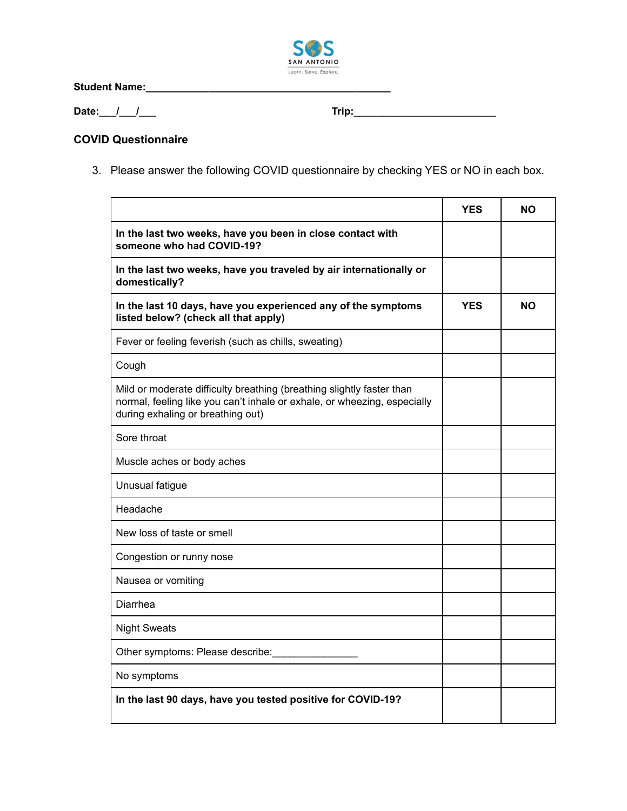

**Student Name:\_\_\_\_\_\_\_\_\_\_\_\_\_\_\_\_\_\_\_\_\_\_\_\_\_\_\_\_\_\_\_\_\_\_\_\_\_\_\_\_\_\_\_**

**Date:\_\_\_/\_\_\_/\_\_\_ Trip:\_\_\_\_\_\_\_\_\_\_\_\_\_\_\_\_\_\_\_\_\_\_\_\_\_**

## **COVID Questionnaire**

3. Please answer the following COVID questionnaire by checking YES or NO in each box.

|                                                                                                                                                                                        | <b>YES</b> | NΟ        |
|----------------------------------------------------------------------------------------------------------------------------------------------------------------------------------------|------------|-----------|
| In the last two weeks, have you been in close contact with<br>someone who had COVID-19?                                                                                                |            |           |
| In the last two weeks, have you traveled by air internationally or<br>domestically?                                                                                                    |            |           |
| In the last 10 days, have you experienced any of the symptoms<br>listed below? (check all that apply)                                                                                  | <b>YES</b> | <b>NO</b> |
| Fever or feeling feverish (such as chills, sweating)                                                                                                                                   |            |           |
| Cough                                                                                                                                                                                  |            |           |
| Mild or moderate difficulty breathing (breathing slightly faster than<br>normal, feeling like you can't inhale or exhale, or wheezing, especially<br>during exhaling or breathing out) |            |           |
| Sore throat                                                                                                                                                                            |            |           |
| Muscle aches or body aches                                                                                                                                                             |            |           |
| Unusual fatigue                                                                                                                                                                        |            |           |
| Headache                                                                                                                                                                               |            |           |
| New loss of taste or smell                                                                                                                                                             |            |           |
| Congestion or runny nose                                                                                                                                                               |            |           |
| Nausea or vomiting                                                                                                                                                                     |            |           |
| Diarrhea                                                                                                                                                                               |            |           |
| <b>Night Sweats</b>                                                                                                                                                                    |            |           |
| Other symptoms: Please describe:                                                                                                                                                       |            |           |
| No symptoms                                                                                                                                                                            |            |           |
| In the last 90 days, have you tested positive for COVID-19?                                                                                                                            |            |           |